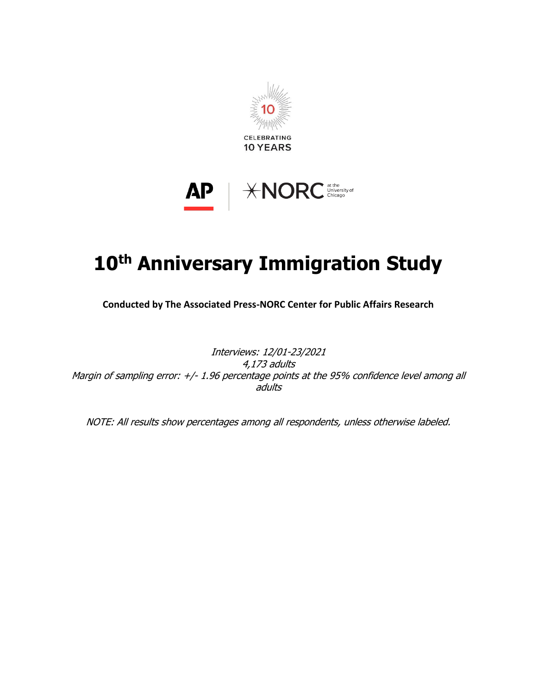



# **10th Anniversary Immigration Study**

**Conducted by The Associated Press-NORC Center for Public Affairs Research**

Interviews: 12/01-23/2021 4,173 adults Margin of sampling error: +/- 1.96 percentage points at the 95% confidence level among all adults

NOTE: All results show percentages among all respondents, unless otherwise labeled.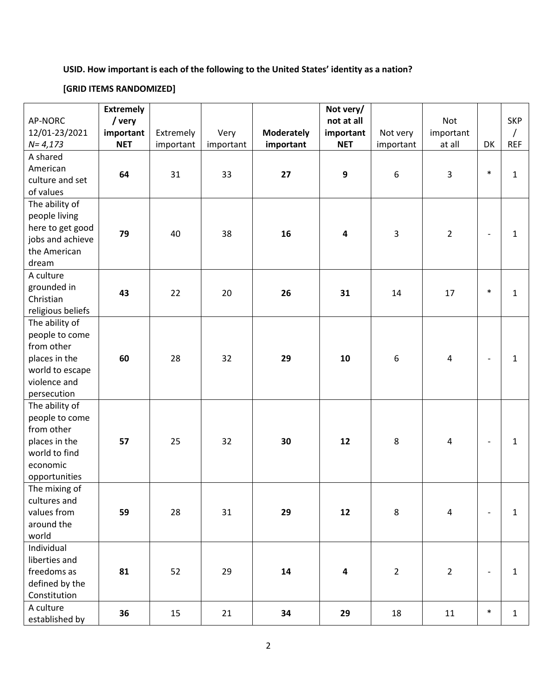# **USID. How important is each of the following to the United States' identity as a nation?**

# **[GRID ITEMS RANDOMIZED]**

|                          | <b>Extremely</b> |           |           |                   | Not very/  |                  |                         |                          |              |
|--------------------------|------------------|-----------|-----------|-------------------|------------|------------------|-------------------------|--------------------------|--------------|
| AP-NORC                  | / very           |           |           |                   | not at all |                  | Not                     |                          | <b>SKP</b>   |
| 12/01-23/2021            | important        | Extremely | Very      | <b>Moderately</b> | important  | Not very         | important               |                          | $\sqrt{2}$   |
| $N = 4,173$              | <b>NET</b>       | important | important | important         | <b>NET</b> | important        | at all                  | DK                       | <b>REF</b>   |
| A shared                 |                  |           |           |                   |            |                  |                         |                          |              |
| American                 |                  |           |           |                   |            |                  |                         |                          |              |
| culture and set          | 64               | 31        | 33        | 27                | 9          | $\boldsymbol{6}$ | 3                       | $\ast$                   | $\mathbf{1}$ |
| of values                |                  |           |           |                   |            |                  |                         |                          |              |
| The ability of           |                  |           |           |                   |            |                  |                         |                          |              |
| people living            |                  |           |           |                   |            |                  |                         |                          |              |
| here to get good         |                  |           |           |                   |            |                  |                         |                          |              |
| jobs and achieve         | 79               | 40        | 38        | 16                | 4          | 3                | $\overline{2}$          | $\overline{\phantom{a}}$ | 1            |
| the American             |                  |           |           |                   |            |                  |                         |                          |              |
| dream                    |                  |           |           |                   |            |                  |                         |                          |              |
| A culture                |                  |           |           |                   |            |                  |                         |                          |              |
|                          |                  |           |           |                   |            |                  |                         |                          |              |
| grounded in<br>Christian | 43               | 22        | 20        | 26                | 31         | 14               | 17                      | $\ast$                   | $\mathbf{1}$ |
|                          |                  |           |           |                   |            |                  |                         |                          |              |
| religious beliefs        |                  |           |           |                   |            |                  |                         |                          |              |
| The ability of           |                  |           |           |                   |            |                  |                         |                          |              |
| people to come           |                  |           |           |                   |            |                  |                         |                          |              |
| from other               |                  |           |           |                   |            |                  |                         |                          |              |
| places in the            | 60               | 28        | 32        | 29                | 10         | $\boldsymbol{6}$ | $\overline{\mathbf{4}}$ |                          | 1            |
| world to escape          |                  |           |           |                   |            |                  |                         |                          |              |
| violence and             |                  |           |           |                   |            |                  |                         |                          |              |
| persecution              |                  |           |           |                   |            |                  |                         |                          |              |
| The ability of           |                  |           |           |                   |            |                  |                         |                          |              |
| people to come           |                  |           |           |                   |            |                  |                         |                          |              |
| from other               |                  |           |           |                   |            |                  |                         |                          |              |
| places in the            | 57               | 25        | 32        | 30                | 12         | 8                | $\overline{4}$          | $\overline{\phantom{a}}$ | $\mathbf{1}$ |
| world to find            |                  |           |           |                   |            |                  |                         |                          |              |
| economic                 |                  |           |           |                   |            |                  |                         |                          |              |
| opportunities            |                  |           |           |                   |            |                  |                         |                          |              |
| The mixing of            |                  |           |           |                   |            |                  |                         |                          |              |
| cultures and             |                  |           |           |                   |            |                  |                         |                          |              |
| values from              | 59               | 28        | 31        | 29                | 12         | 8                | $\overline{4}$          | $\overline{\phantom{a}}$ | $\mathbf{1}$ |
| around the               |                  |           |           |                   |            |                  |                         |                          |              |
| world                    |                  |           |           |                   |            |                  |                         |                          |              |
| Individual               |                  |           |           |                   |            |                  |                         |                          |              |
| liberties and            |                  |           |           |                   |            |                  |                         |                          |              |
| freedoms as              | 81               | 52        | 29        | 14                | 4          | $\overline{2}$   | $\overline{2}$          | $\overline{\phantom{a}}$ | $\mathbf{1}$ |
| defined by the           |                  |           |           |                   |            |                  |                         |                          |              |
| Constitution             |                  |           |           |                   |            |                  |                         |                          |              |
| A culture                | 36               | 15        | 21        | 34                | 29         | 18               | 11                      | $\ast$                   | $\mathbf{1}$ |
| established by           |                  |           |           |                   |            |                  |                         |                          |              |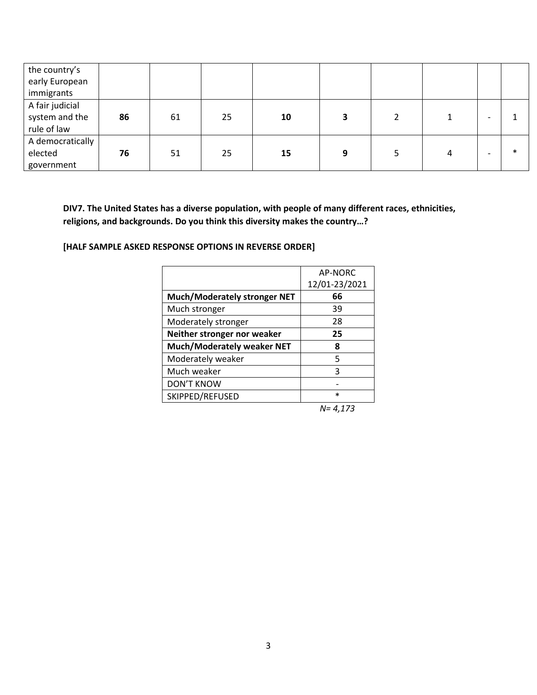| the country's<br>early European<br>immigrants    |    |    |    |    |   |   |        |
|--------------------------------------------------|----|----|----|----|---|---|--------|
| A fair judicial<br>system and the<br>rule of law | 86 | 61 | 25 | 10 | 3 |   |        |
| A democratically<br>elected<br>government        | 76 | 51 | 25 | 15 | 9 | 4 | $\ast$ |

**DIV7. The United States has a diverse population, with people of many different races, ethnicities, religions, and backgrounds. Do you think this diversity makes the country…?**

**[HALF SAMPLE ASKED RESPONSE OPTIONS IN REVERSE ORDER]**

|                                     | AP-NORC       |
|-------------------------------------|---------------|
|                                     | 12/01-23/2021 |
| <b>Much/Moderately stronger NET</b> | 66            |
| Much stronger                       | 39            |
| Moderately stronger                 | 28            |
| Neither stronger nor weaker         | 25            |
| Much/Moderately weaker NET          | 8             |
| Moderately weaker                   | 5             |
| Much weaker                         | 3             |
| <b>DON'T KNOW</b>                   |               |
| SKIPPED/REFUSED                     | $\ast$        |

*N= 4,173*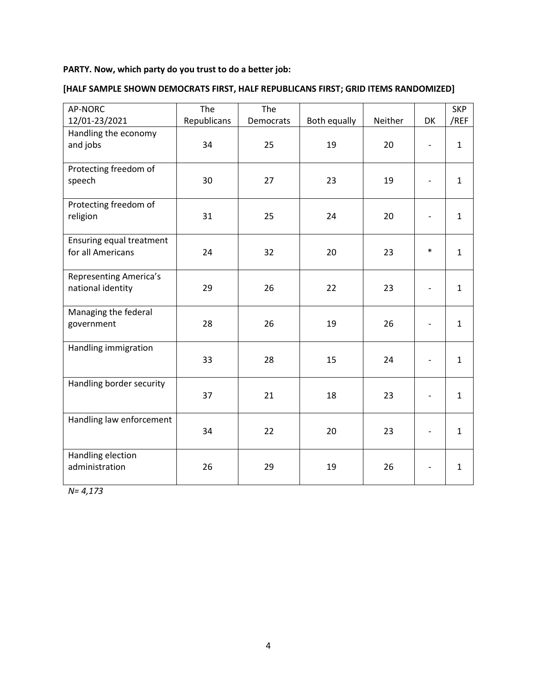# **PARTY. Now, which party do you trust to do a better job:**

| AP-NORC                                            | The         | The       |              |         |        | <b>SKP</b>   |
|----------------------------------------------------|-------------|-----------|--------------|---------|--------|--------------|
| 12/01-23/2021                                      | Republicans | Democrats | Both equally | Neither | DK     | /REF         |
| Handling the economy<br>and jobs                   | 34          | 25        | 19           | 20      |        | $\mathbf{1}$ |
| Protecting freedom of<br>speech                    | 30          | 27        | 23           | 19      |        | $\mathbf{1}$ |
| Protecting freedom of<br>religion                  | 31          | 25        | 24           | 20      |        | $\mathbf{1}$ |
| Ensuring equal treatment<br>for all Americans      | 24          | 32        | 20           | 23      | $\ast$ | $\mathbf{1}$ |
| <b>Representing America's</b><br>national identity | 29          | 26        | 22           | 23      |        | $\mathbf{1}$ |
| Managing the federal<br>government                 | 28          | 26        | 19           | 26      |        | $\mathbf{1}$ |
| Handling immigration                               | 33          | 28        | 15           | 24      |        | $\mathbf{1}$ |
| Handling border security                           | 37          | 21        | 18           | 23      |        | $\mathbf{1}$ |
| Handling law enforcement                           | 34          | 22        | 20           | 23      |        | $\mathbf{1}$ |
| Handling election<br>administration                | 26          | 29        | 19           | 26      |        | 1            |

# **[HALF SAMPLE SHOWN DEMOCRATS FIRST, HALF REPUBLICANS FIRST; GRID ITEMS RANDOMIZED]**

*N= 4,173*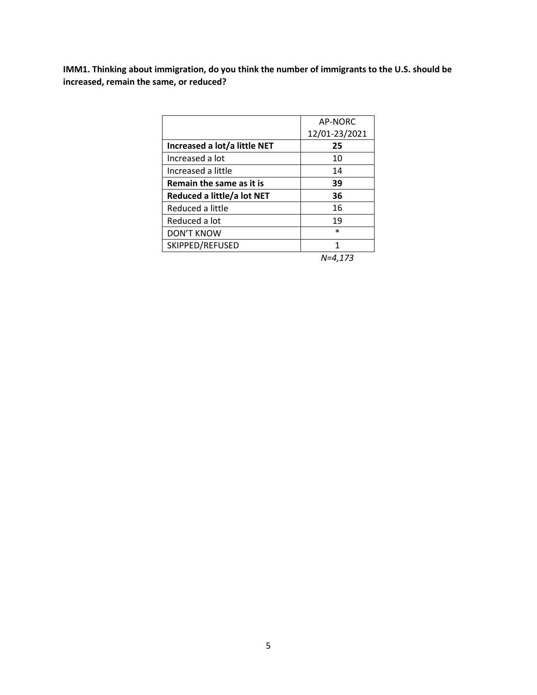**IMM1. Thinking about immigration, do you think the number of immigrants to the U.S. should be increased, remain the same, or reduced?**

|                              | AP-NORC       |
|------------------------------|---------------|
|                              | 12/01-23/2021 |
| Increased a lot/a little NET | 25            |
| Increased a lot              | 10            |
| Increased a little           | 14            |
| Remain the same as it is     | 39            |
| Reduced a little/a lot NET   | 36            |
| Reduced a little             | 16            |
| Reduced a lot                | 19            |
| <b>DON'T KNOW</b>            | $\ast$        |
| SKIPPED/REFUSED              | 1             |
|                              |               |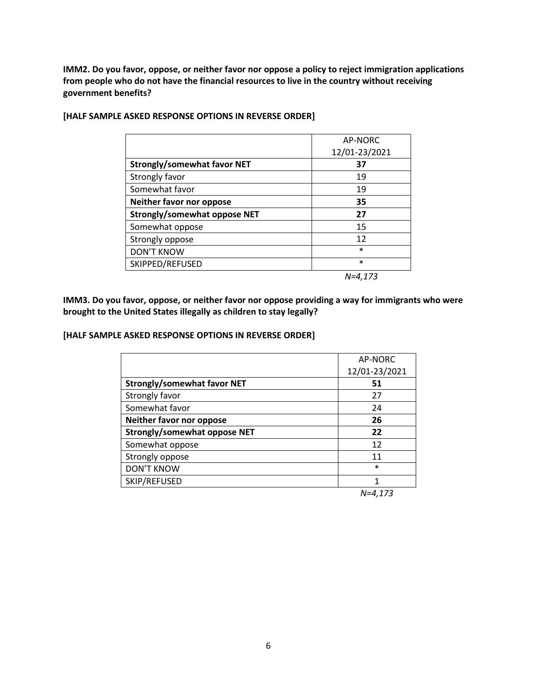**IMM2. Do you favor, oppose, or neither favor nor oppose a policy to reject immigration applications from people who do not have the financial resources to live in the country without receiving government benefits?**

|                                     | AP-NORC       |
|-------------------------------------|---------------|
|                                     | 12/01-23/2021 |
| Strongly/somewhat favor NET         | 37            |
| Strongly favor                      | 19            |
| Somewhat favor                      | 19            |
| Neither favor nor oppose            | 35            |
| <b>Strongly/somewhat oppose NET</b> | 27            |
| Somewhat oppose                     | 15            |
| Strongly oppose                     | 12            |
| <b>DON'T KNOW</b>                   | $\ast$        |
| SKIPPED/REFUSED                     | $\ast$        |
|                                     | $N=4,173$     |

## **[HALF SAMPLE ASKED RESPONSE OPTIONS IN REVERSE ORDER]**

**IMM3. Do you favor, oppose, or neither favor nor oppose providing a way for immigrants who were brought to the United States illegally as children to stay legally?**

## **[HALF SAMPLE ASKED RESPONSE OPTIONS IN REVERSE ORDER]**

|                                     | AP-NORC       |
|-------------------------------------|---------------|
|                                     | 12/01-23/2021 |
| <b>Strongly/somewhat favor NET</b>  | 51            |
| Strongly favor                      | 27            |
| Somewhat favor                      | 24            |
| Neither favor nor oppose            | 26            |
| <b>Strongly/somewhat oppose NET</b> | 22            |
| Somewhat oppose                     | 12            |
| Strongly oppose                     | 11            |
| <b>DON'T KNOW</b>                   | $\ast$        |
| SKIP/REFUSED                        |               |
|                                     |               |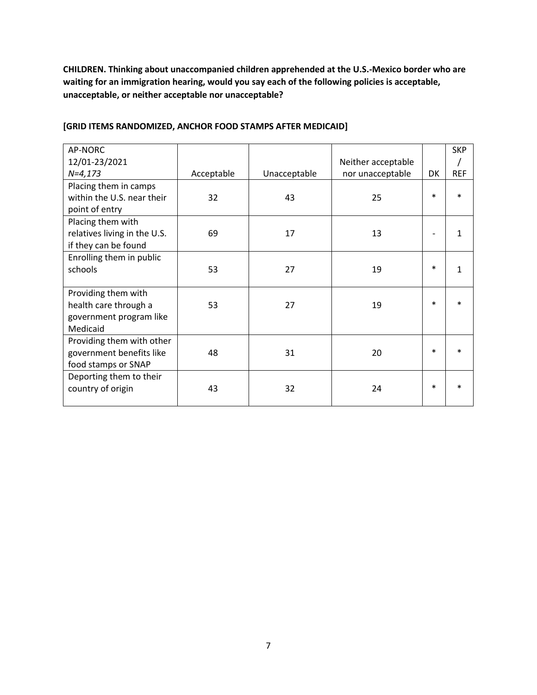**CHILDREN. Thinking about unaccompanied children apprehended at the U.S.-Mexico border who are waiting for an immigration hearing, would you say each of the following policies is acceptable, unacceptable, or neither acceptable nor unacceptable?**

| AP-NORC<br>12/01-23/2021                                                            |            |              | Neither acceptable |        | <b>SKP</b>   |
|-------------------------------------------------------------------------------------|------------|--------------|--------------------|--------|--------------|
| $N=4,173$                                                                           | Acceptable | Unacceptable | nor unacceptable   | DK     | <b>REF</b>   |
| Placing them in camps<br>within the U.S. near their<br>point of entry               | 32         | 43           | 25                 | $\ast$ | $\ast$       |
| Placing them with<br>relatives living in the U.S.<br>if they can be found           | 69         | 17           | 13                 |        | $\mathbf{1}$ |
| Enrolling them in public<br>schools                                                 | 53         | 27           | 19                 | $\ast$ | $\mathbf{1}$ |
| Providing them with<br>health care through a<br>government program like<br>Medicaid | 53         | 27           | 19                 | $\ast$ | $\ast$       |
| Providing them with other<br>government benefits like<br>food stamps or SNAP        | 48         | 31           | 20                 | $\ast$ |              |
| Deporting them to their<br>country of origin                                        | 43         | 32           | 24                 | $\ast$ |              |

# **[GRID ITEMS RANDOMIZED, ANCHOR FOOD STAMPS AFTER MEDICAID]**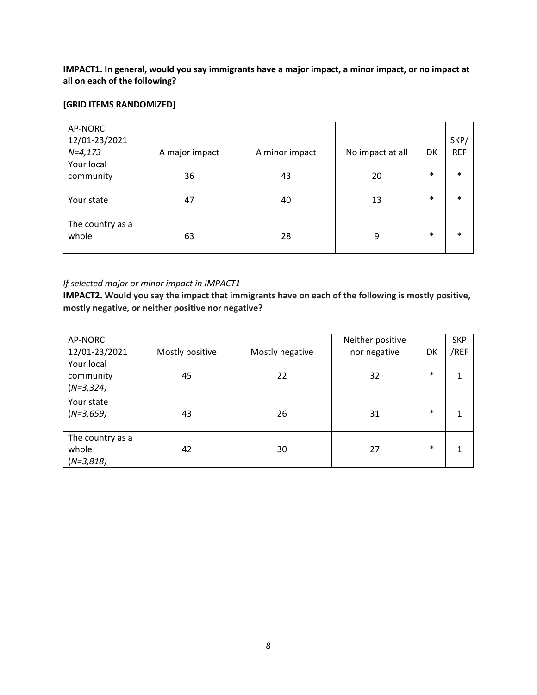**IMPACT1. In general, would you say immigrants have a major impact, a minor impact, or no impact at all on each of the following?**

## **[GRID ITEMS RANDOMIZED]**

| AP-NORC          |                |                |                  |        |            |
|------------------|----------------|----------------|------------------|--------|------------|
| 12/01-23/2021    |                |                |                  |        | SKP/       |
| $N=4,173$        | A major impact | A minor impact | No impact at all | DK     | <b>REF</b> |
| Your local       |                |                |                  |        |            |
| community        | 36             | 43             | 20               | $\ast$ | $\ast$     |
|                  |                |                |                  |        |            |
| Your state       | 47             | 40             | 13               | $\ast$ | $\ast$     |
|                  |                |                |                  |        |            |
| The country as a |                |                |                  |        |            |
| whole            | 63             | 28             | 9                | $\ast$ | $\ast$     |
|                  |                |                |                  |        |            |

## *If selected major or minor impact in IMPACT1*

**IMPACT2. Would you say the impact that immigrants have on each of the following is mostly positive, mostly negative, or neither positive nor negative?**

| AP-NORC                                  |                 |                 | Neither positive |        | <b>SKP</b> |
|------------------------------------------|-----------------|-----------------|------------------|--------|------------|
| 12/01-23/2021                            | Mostly positive | Mostly negative | nor negative     | DK     | /REF       |
| Your local<br>community<br>$(N=3,324)$   | 45              | 22              | 32               | $\ast$ |            |
|                                          |                 |                 |                  |        |            |
| Your state<br>$(N=3,659)$                | 43              | 26              | 31               | $\ast$ |            |
| The country as a<br>whole<br>$(N=3,818)$ | 42              | 30              | 27               | $\ast$ |            |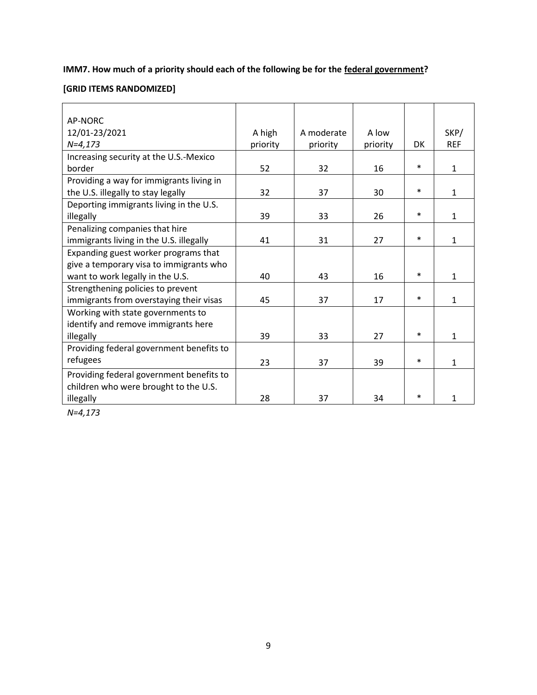# **IMM7. How much of a priority should each of the following be for the federal government?**

# **[GRID ITEMS RANDOMIZED]**

| AP-NORC                                  |          |            |          |        |              |
|------------------------------------------|----------|------------|----------|--------|--------------|
| 12/01-23/2021                            | A high   | A moderate | A low    |        | SKP/         |
| $N=4,173$                                | priority | priority   | priority | DK     | <b>REF</b>   |
| Increasing security at the U.S.-Mexico   |          |            |          |        |              |
| border                                   | 52       | 32         | 16       | $\ast$ | $\mathbf{1}$ |
| Providing a way for immigrants living in |          |            |          |        |              |
| the U.S. illegally to stay legally       | 32       | 37         | 30       | $\ast$ | 1            |
| Deporting immigrants living in the U.S.  |          |            |          |        |              |
| illegally                                | 39       | 33         | 26       | $\ast$ | 1            |
| Penalizing companies that hire           |          |            |          |        |              |
| immigrants living in the U.S. illegally  | 41       | 31         | 27       | $\ast$ | $\mathbf{1}$ |
| Expanding guest worker programs that     |          |            |          |        |              |
| give a temporary visa to immigrants who  |          |            |          |        |              |
| want to work legally in the U.S.         | 40       | 43         | 16       | $\ast$ | $\mathbf{1}$ |
| Strengthening policies to prevent        |          |            |          |        |              |
| immigrants from overstaying their visas  | 45       | 37         | 17       | $\ast$ | $\mathbf{1}$ |
| Working with state governments to        |          |            |          |        |              |
| identify and remove immigrants here      |          |            |          |        |              |
| illegally                                | 39       | 33         | 27       | $\ast$ | 1            |
| Providing federal government benefits to |          |            |          |        |              |
| refugees                                 | 23       | 37         | 39       | $\ast$ | $\mathbf{1}$ |
| Providing federal government benefits to |          |            |          |        |              |
| children who were brought to the U.S.    |          |            |          |        |              |
| illegally                                | 28       | 37         | 34       | $\ast$ | 1            |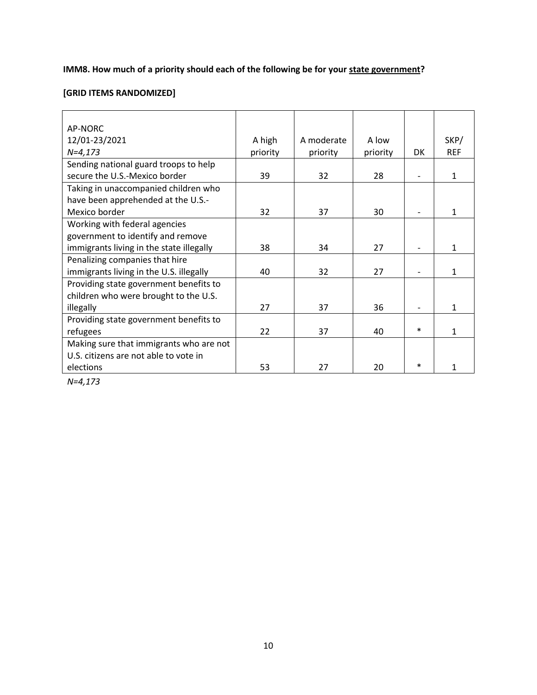**IMM8. How much of a priority should each of the following be for your state government?**

# **[GRID ITEMS RANDOMIZED]**

| AP-NORC                                  |          |            |          |        |            |
|------------------------------------------|----------|------------|----------|--------|------------|
| 12/01-23/2021                            | A high   | A moderate | A low    |        | SKP/       |
| $N=4,173$                                | priority | priority   | priority | DK     | <b>REF</b> |
| Sending national guard troops to help    |          |            |          |        |            |
| secure the U.S.-Mexico border            | 39       | 32         | 28       |        | 1          |
| Taking in unaccompanied children who     |          |            |          |        |            |
| have been apprehended at the U.S.-       |          |            |          |        |            |
| Mexico border                            | 32       | 37         | 30       |        | 1          |
| Working with federal agencies            |          |            |          |        |            |
| government to identify and remove        |          |            |          |        |            |
| immigrants living in the state illegally | 38       | 34         | 27       |        | 1          |
| Penalizing companies that hire           |          |            |          |        |            |
| immigrants living in the U.S. illegally  | 40       | 32         | 27       |        | 1          |
| Providing state government benefits to   |          |            |          |        |            |
| children who were brought to the U.S.    |          |            |          |        |            |
| illegally                                | 27       | 37         | 36       |        | 1          |
| Providing state government benefits to   |          |            |          |        |            |
| refugees                                 | 22       | 37         | 40       | $\ast$ | 1          |
| Making sure that immigrants who are not  |          |            |          |        |            |
| U.S. citizens are not able to vote in    |          |            |          |        |            |
| elections                                | 53       | 27         | 20       | ж      |            |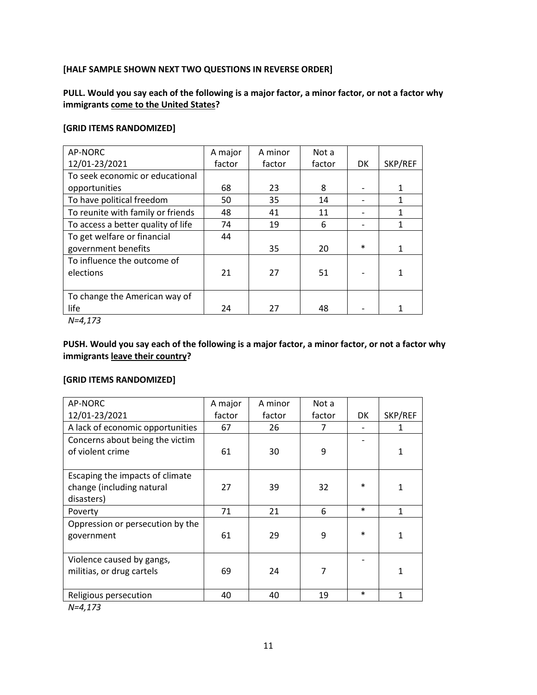# **[HALF SAMPLE SHOWN NEXT TWO QUESTIONS IN REVERSE ORDER]**

# **PULL. Would you say each of the following is a major factor, a minor factor, or not a factor why immigrants come to the United States?**

## **[GRID ITEMS RANDOMIZED]**

| AP-NORC                            | A major | A minor | Not a  |        |         |
|------------------------------------|---------|---------|--------|--------|---------|
| 12/01-23/2021                      | factor  | factor  | factor | DK     | SKP/REF |
| To seek economic or educational    |         |         |        |        |         |
| opportunities                      | 68      | 23      | 8      |        |         |
| To have political freedom          | 50      | 35      | 14     |        | 1       |
| To reunite with family or friends  | 48      | 41      | 11     |        |         |
| To access a better quality of life | 74      | 19      | 6      |        | 1       |
| To get welfare or financial        | 44      |         |        |        |         |
| government benefits                |         | 35      | 20     | $\ast$ |         |
| To influence the outcome of        |         |         |        |        |         |
| elections                          | 21      | 27      | 51     |        |         |
|                                    |         |         |        |        |         |
| To change the American way of      |         |         |        |        |         |
| life                               | 24      | 27      | 48     |        |         |

*N=4,173*

# **PUSH. Would you say each of the following is a major factor, a minor factor, or not a factor why immigrants leave their country?**

## **[GRID ITEMS RANDOMIZED]**

| AP-NORC                          | A major | A minor | Not a  |        |         |
|----------------------------------|---------|---------|--------|--------|---------|
| 12/01-23/2021                    | factor  | factor  | factor | DK     | SKP/REF |
| A lack of economic opportunities | 67      | 26      |        |        |         |
| Concerns about being the victim  |         |         |        |        |         |
| of violent crime                 | 61      | 30      | 9      |        | 1       |
|                                  |         |         |        |        |         |
| Escaping the impacts of climate  |         |         |        |        |         |
| change (including natural        | 27      | 39      | 32     | $\ast$ | 1       |
| disasters)                       |         |         |        |        |         |
| Poverty                          | 71      | 21      | 6      | $\ast$ | 1       |
| Oppression or persecution by the |         |         |        |        |         |
| government                       | 61      | 29      | 9      | $\ast$ | 1       |
|                                  |         |         |        |        |         |
| Violence caused by gangs,        |         |         |        |        |         |
| militias, or drug cartels        | 69      | 24      | 7      |        | 1       |
|                                  |         |         |        |        |         |
| Religious persecution            | 40      | 40      | 19     | $\ast$ | 1       |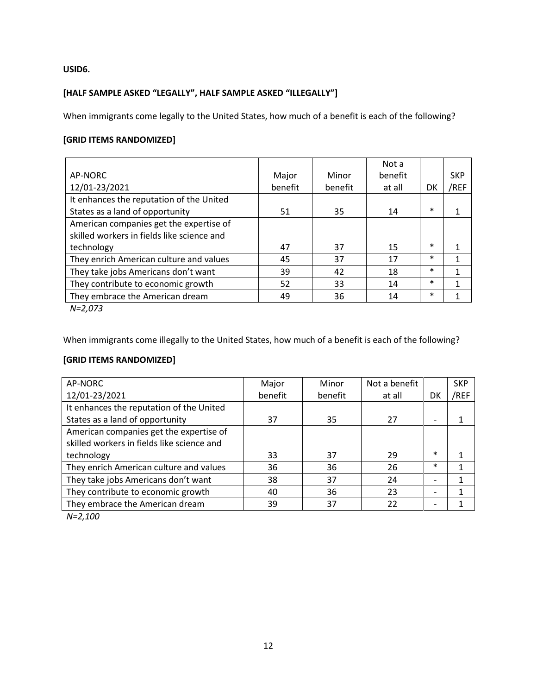**USID6.** 

# **[HALF SAMPLE ASKED "LEGALLY", HALF SAMPLE ASKED "ILLEGALLY"]**

When immigrants come legally to the United States, how much of a benefit is each of the following?

# **[GRID ITEMS RANDOMIZED]**

|                                            |         |         | Not a   |        |            |
|--------------------------------------------|---------|---------|---------|--------|------------|
| AP-NORC                                    | Major   | Minor   | benefit |        | <b>SKP</b> |
| 12/01-23/2021                              | benefit | benefit | at all  | DK     | /REF       |
| It enhances the reputation of the United   |         |         |         |        |            |
| States as a land of opportunity            | 51      | 35      | 14      | $\ast$ |            |
| American companies get the expertise of    |         |         |         |        |            |
| skilled workers in fields like science and |         |         |         |        |            |
| technology                                 | 47      | 37      | 15      | $\ast$ |            |
| They enrich American culture and values    | 45      | 37      | 17      | $\ast$ |            |
| They take jobs Americans don't want        | 39      | 42      | 18      | $\ast$ |            |
| They contribute to economic growth         | 52      | 33      | 14      | $\ast$ |            |
| They embrace the American dream            | 49      | 36      | 14      | $\ast$ |            |
| $\cdots$ $\sim$ $\sim$                     |         |         |         |        |            |

*N=2,073*

When immigrants come illegally to the United States, how much of a benefit is each of the following?

# **[GRID ITEMS RANDOMIZED]**

| AP-NORC                                    | Major   | Minor   | Not a benefit |                          | <b>SKP</b> |
|--------------------------------------------|---------|---------|---------------|--------------------------|------------|
| 12/01-23/2021                              | benefit | benefit | at all        | DK                       | /REF       |
| It enhances the reputation of the United   |         |         |               |                          |            |
| States as a land of opportunity            | 37      | 35      | 27            | $\overline{a}$           |            |
| American companies get the expertise of    |         |         |               |                          |            |
| skilled workers in fields like science and |         |         |               |                          |            |
| technology                                 | 33      | 37      | 29            | $\ast$                   |            |
| They enrich American culture and values    | 36      | 36      | 26            | $\ast$                   |            |
| They take jobs Americans don't want        | 38      | 37      | 24            | $\overline{\phantom{0}}$ |            |
| They contribute to economic growth         | 40      | 36      | 23            | $\overline{a}$           |            |
| They embrace the American dream            | 39      | 37      | 22            |                          |            |
| $\mathbf{A}$ $\mathbf{A}$                  |         |         |               |                          |            |

*N=2,100*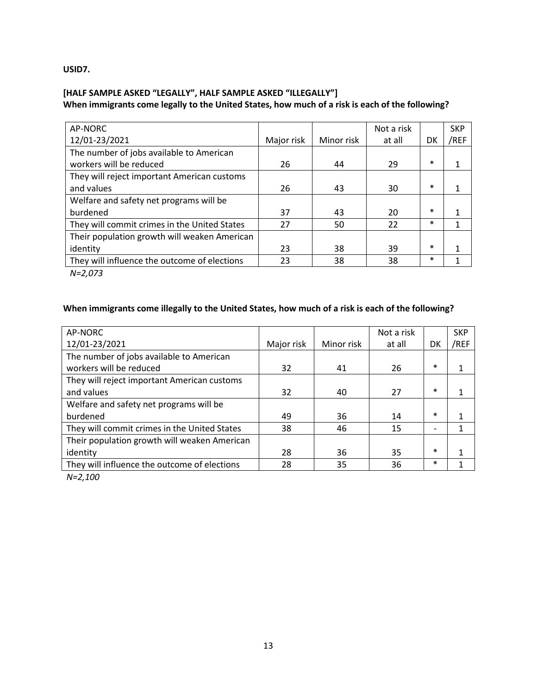**USID7.** 

# **[HALF SAMPLE ASKED "LEGALLY", HALF SAMPLE ASKED "ILLEGALLY"] When immigrants come legally to the United States, how much of a risk is each of the following?**

| AP-NORC                                      |            |            | Not a risk |        | <b>SKP</b> |
|----------------------------------------------|------------|------------|------------|--------|------------|
| 12/01-23/2021                                | Major risk | Minor risk | at all     | DK     | /REF       |
| The number of jobs available to American     |            |            |            |        |            |
| workers will be reduced                      | 26         | 44         | 29         | $\ast$ |            |
| They will reject important American customs  |            |            |            |        |            |
| and values                                   | 26         | 43         | 30         | $\ast$ |            |
| Welfare and safety net programs will be      |            |            |            |        |            |
| burdened                                     | 37         | 43         | 20         | $\ast$ |            |
| They will commit crimes in the United States | 27         | 50         | 22         | $\ast$ |            |
| Their population growth will weaken American |            |            |            |        |            |
| identity                                     | 23         | 38         | 39         | $\ast$ |            |
| They will influence the outcome of elections | 23         | 38         | 38         | $\ast$ |            |
|                                              |            |            |            |        |            |

*N=2,073*

# **When immigrants come illegally to the United States, how much of a risk is each of the following?**

| AP-NORC                                      |            |            | Not a risk |                | <b>SKP</b> |
|----------------------------------------------|------------|------------|------------|----------------|------------|
| 12/01-23/2021                                | Major risk | Minor risk | at all     | DK             | /REF       |
| The number of jobs available to American     |            |            |            |                |            |
| workers will be reduced                      | 32         | 41         | 26         | $\ast$         |            |
| They will reject important American customs  |            |            |            |                |            |
| and values                                   | 32         | 40         | 27         | $\ast$         |            |
| Welfare and safety net programs will be      |            |            |            |                |            |
| burdened                                     | 49         | 36         | 14         | $\ast$         |            |
| They will commit crimes in the United States | 38         | 46         | 15         | $\overline{a}$ |            |
| Their population growth will weaken American |            |            |            |                |            |
| identity                                     | 28         | 36         | 35         | $\ast$         |            |
| They will influence the outcome of elections | 28         | 35         | 36         | $\ast$         |            |
| $\mathbf{A}$ $\mathbf{A}$                    |            |            |            |                |            |

*N=2,100*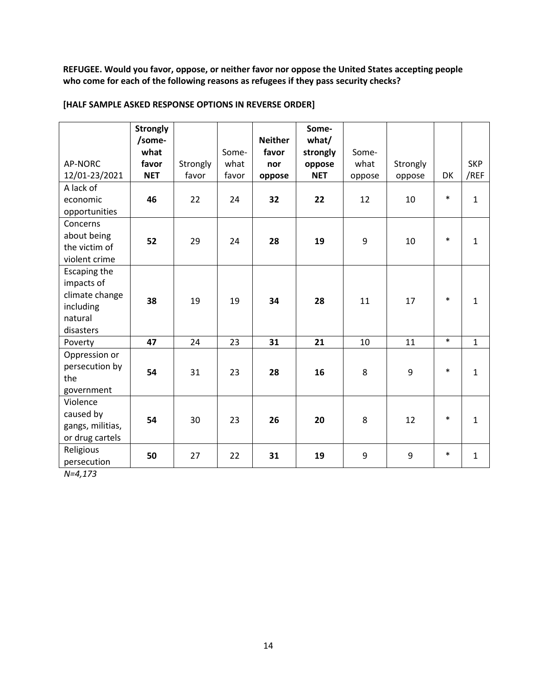**REFUGEE. Would you favor, oppose, or neither favor nor oppose the United States accepting people who come for each of the following reasons as refugees if they pass security checks?**

|                                                                                   | <b>Strongly</b><br>/some-<br>what |                   | Some-         | <b>Neither</b><br>favor | Some-<br>what/<br>strongly | Some-          |                    |        |                    |
|-----------------------------------------------------------------------------------|-----------------------------------|-------------------|---------------|-------------------------|----------------------------|----------------|--------------------|--------|--------------------|
| AP-NORC<br>12/01-23/2021                                                          | favor<br><b>NET</b>               | Strongly<br>favor | what<br>favor | nor<br>oppose           | oppose<br><b>NET</b>       | what<br>oppose | Strongly<br>oppose | DK     | <b>SKP</b><br>/REF |
| A lack of<br>economic<br>opportunities                                            | 46                                | 22                | 24            | 32                      | 22                         | 12             | 10                 | $\ast$ | $\mathbf{1}$       |
| Concerns<br>about being<br>the victim of<br>violent crime                         | 52                                | 29                | 24            | 28                      | 19                         | 9              | 10                 | $\ast$ | $\mathbf{1}$       |
| Escaping the<br>impacts of<br>climate change<br>including<br>natural<br>disasters | 38                                | 19                | 19            | 34                      | 28                         | 11             | 17                 | $\ast$ | $\mathbf{1}$       |
| Poverty                                                                           | 47                                | 24                | 23            | 31                      | 21                         | 10             | 11                 | $\ast$ | $\mathbf{1}$       |
| Oppression or<br>persecution by<br>the<br>government                              | 54                                | 31                | 23            | 28                      | 16                         | 8              | 9                  | $\ast$ | $\mathbf{1}$       |
| Violence<br>caused by<br>gangs, militias,<br>or drug cartels                      | 54                                | 30                | 23            | 26                      | 20                         | 8              | 12                 | $\ast$ | $\mathbf{1}$       |
| Religious<br>persecution                                                          | 50                                | 27                | 22            | 31                      | 19                         | 9              | 9                  | $\ast$ | $\mathbf{1}$       |

## **[HALF SAMPLE ASKED RESPONSE OPTIONS IN REVERSE ORDER]**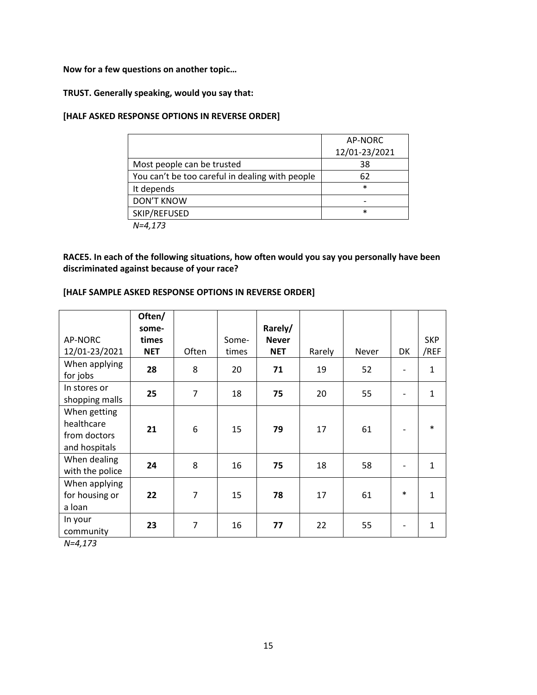**Now for a few questions on another topic…**

## **TRUST. Generally speaking, would you say that:**

#### **[HALF ASKED RESPONSE OPTIONS IN REVERSE ORDER]**

|                                                 | AP-NORC       |
|-------------------------------------------------|---------------|
|                                                 | 12/01-23/2021 |
| Most people can be trusted                      | 38            |
| You can't be too careful in dealing with people | 62            |
| It depends                                      | $\ast$        |
| <b>DON'T KNOW</b>                               |               |
| SKIP/REFUSED                                    | $\ast$        |
| $N = 4.173$                                     |               |

**RACE5. In each of the following situations, how often would you say you personally have been discriminated against because of your race?**

## **[HALF SAMPLE ASKED RESPONSE OPTIONS IN REVERSE ORDER]**

|                                                             | Often/<br>some-     |                |                | Rarely/                    |        |       |        |                    |
|-------------------------------------------------------------|---------------------|----------------|----------------|----------------------------|--------|-------|--------|--------------------|
| AP-NORC<br>12/01-23/2021                                    | times<br><b>NET</b> | Often          | Some-<br>times | <b>Never</b><br><b>NET</b> | Rarely | Never | DK     | <b>SKP</b><br>/REF |
| When applying<br>for jobs                                   | 28                  | 8              | 20             | 71                         | 19     | 52    |        | 1                  |
| In stores or<br>shopping malls                              | 25                  | $\overline{7}$ | 18             | 75                         | 20     | 55    |        | 1                  |
| When getting<br>healthcare<br>from doctors<br>and hospitals | 21                  | 6              | 15             | 79                         | 17     | 61    |        | $\ast$             |
| When dealing<br>with the police                             | 24                  | 8              | 16             | 75                         | 18     | 58    |        | 1                  |
| When applying<br>for housing or<br>a loan                   | 22                  | $\overline{7}$ | 15             | 78                         | 17     | 61    | $\ast$ | 1                  |
| In your<br>community                                        | 23                  | $\overline{7}$ | 16             | 77                         | 22     | 55    |        | 1                  |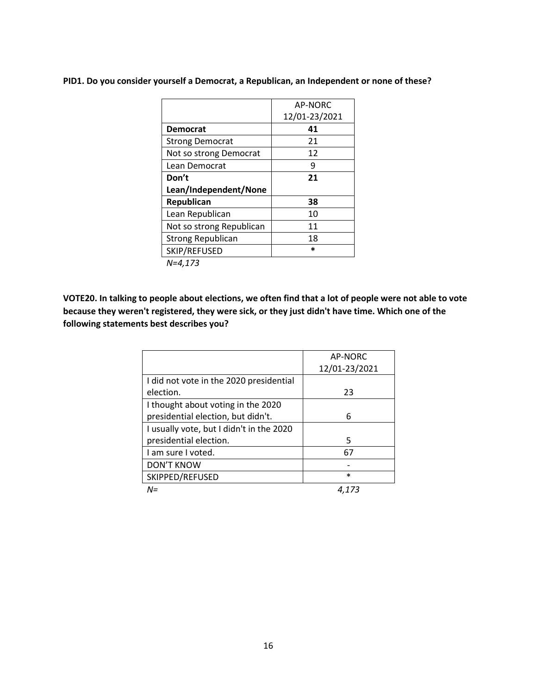**PID1. Do you consider yourself a Democrat, a Republican, an Independent or none of these?**

|                          | AP-NORC       |
|--------------------------|---------------|
|                          | 12/01-23/2021 |
| <b>Democrat</b>          | 41            |
| <b>Strong Democrat</b>   | 21            |
| Not so strong Democrat   | 12            |
| Lean Democrat            | q             |
| Don't                    | 21            |
| Lean/Independent/None    |               |
| Republican               | 38            |
| Lean Republican          | 10            |
| Not so strong Republican | 11            |
| <b>Strong Republican</b> | 18            |
| SKIP/REFUSED             | *             |
| $N - 172$                |               |

*N=4,173*

**VOTE20. In talking to people about elections, we often find that a lot of people were not able to vote because they weren't registered, they were sick, or they just didn't have time. Which one of the following statements best describes you?**

|                                          | AP-NORC       |
|------------------------------------------|---------------|
|                                          | 12/01-23/2021 |
| I did not vote in the 2020 presidential  |               |
| election.                                | 23            |
| I thought about voting in the 2020       |               |
| presidential election, but didn't.       | 6             |
| I usually vote, but I didn't in the 2020 |               |
| presidential election.                   | 5             |
| Lam sure Lyoted.                         | 67            |
| <b>DON'T KNOW</b>                        |               |
| SKIPPED/REFUSED                          | $\ast$        |
| $N =$                                    |               |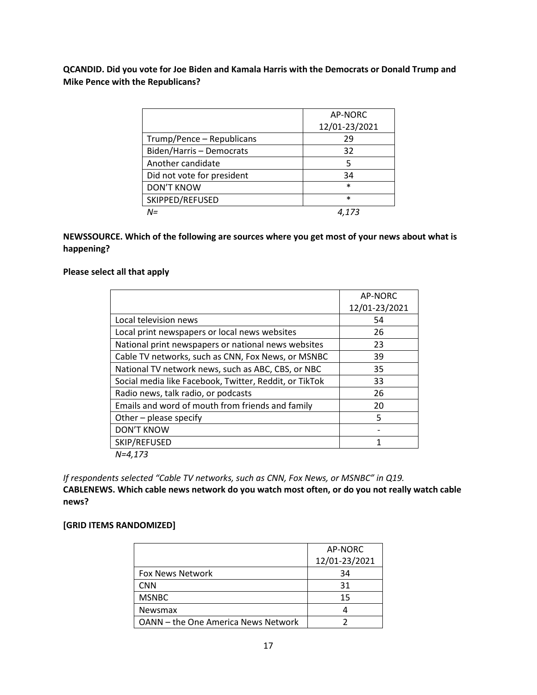**QCANDID. Did you vote for Joe Biden and Kamala Harris with the Democrats or Donald Trump and Mike Pence with the Republicans?**

|                            | AP-NORC       |
|----------------------------|---------------|
|                            | 12/01-23/2021 |
| Trump/Pence - Republicans  | 29            |
| Biden/Harris - Democrats   | 32            |
| Another candidate          | 5             |
| Did not vote for president | 34            |
| <b>DON'T KNOW</b>          | $\ast$        |
| SKIPPED/REFUSED            | $\ast$        |
| $N =$                      |               |

# **NEWSSOURCE. Which of the following are sources where you get most of your news about what is happening?**

#### **Please select all that apply**

|                                                        | AP-NORC       |
|--------------------------------------------------------|---------------|
|                                                        | 12/01-23/2021 |
| Local television news                                  | 54            |
| Local print newspapers or local news websites          | 26            |
| National print newspapers or national news websites    | 23            |
| Cable TV networks, such as CNN, Fox News, or MSNBC     | 39            |
| National TV network news, such as ABC, CBS, or NBC     | 35            |
| Social media like Facebook, Twitter, Reddit, or TikTok | 33            |
| Radio news, talk radio, or podcasts                    | 26            |
| Emails and word of mouth from friends and family       | 20            |
| Other - please specify                                 | 5             |
| <b>DON'T KNOW</b>                                      |               |
| SKIP/REFUSED                                           |               |
| $N = 4.173$                                            |               |

*If respondents selected "Cable TV networks, such as CNN, Fox News, or MSNBC" in Q19.*

**CABLENEWS. Which cable news network do you watch most often, or do you not really watch cable news?**

## **[GRID ITEMS RANDOMIZED]**

|                                     | AP-NORC       |
|-------------------------------------|---------------|
|                                     | 12/01-23/2021 |
| <b>Fox News Network</b>             | 34            |
| <b>CNN</b>                          | 31            |
| <b>MSNBC</b>                        | 15            |
| <b>Newsmax</b>                      |               |
| OANN - the One America News Network |               |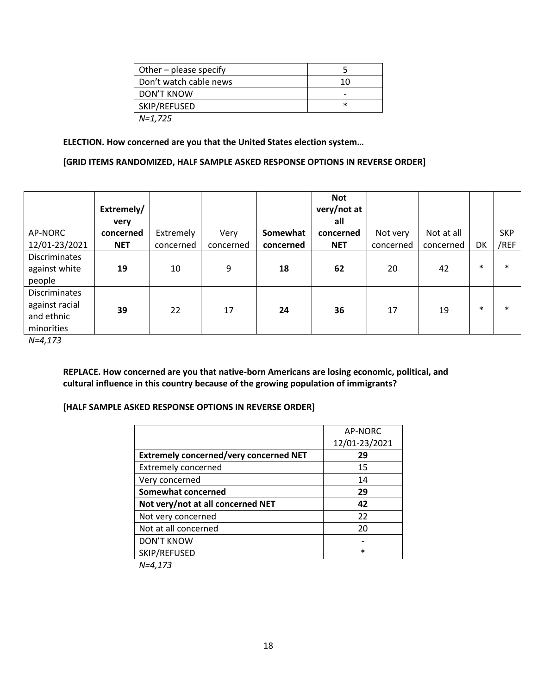| Other – please specify |        |
|------------------------|--------|
| Don't watch cable news | 10     |
| DON'T KNOW             |        |
| SKIP/REFUSED           | $\ast$ |
| N=1,725                |        |

#### **ELECTION. How concerned are you that the United States election system…**

#### **[GRID ITEMS RANDOMIZED, HALF SAMPLE ASKED RESPONSE OPTIONS IN REVERSE ORDER]**

|                                                                    | Extremely/<br>very |           |           |           | Not<br>very/not at<br>all |           |            |        |            |
|--------------------------------------------------------------------|--------------------|-----------|-----------|-----------|---------------------------|-----------|------------|--------|------------|
| AP-NORC                                                            | concerned          | Extremely | Very      | Somewhat  | concerned                 | Not very  | Not at all |        | <b>SKP</b> |
| 12/01-23/2021                                                      | <b>NET</b>         | concerned | concerned | concerned | <b>NET</b>                | concerned | concerned  | DK     | /REF       |
| <b>Discriminates</b><br>against white<br>people                    | 19                 | 10        | 9         | 18        | 62                        | 20        | 42         | $\ast$ | $\ast$     |
| <b>Discriminates</b><br>against racial<br>and ethnic<br>minorities | 39                 | 22        | 17        | 24        | 36                        | 17        | 19         | $\ast$ | $\ast$     |

*N=4,173*

**REPLACE. How concerned are you that native-born Americans are losing economic, political, and cultural influence in this country because of the growing population of immigrants?**

#### **[HALF SAMPLE ASKED RESPONSE OPTIONS IN REVERSE ORDER]**

|                                               | AP-NORC       |
|-----------------------------------------------|---------------|
|                                               | 12/01-23/2021 |
| <b>Extremely concerned/very concerned NET</b> | 29            |
| <b>Extremely concerned</b>                    | 15            |
| Very concerned                                | 14            |
| Somewhat concerned                            | 29            |
| Not very/not at all concerned NET             | 42            |
| Not very concerned                            | 22            |
| Not at all concerned                          | 20            |
| <b>DON'T KNOW</b>                             |               |
| SKIP/REFUSED                                  | $\ast$        |
| $1 - 1$ 177                                   |               |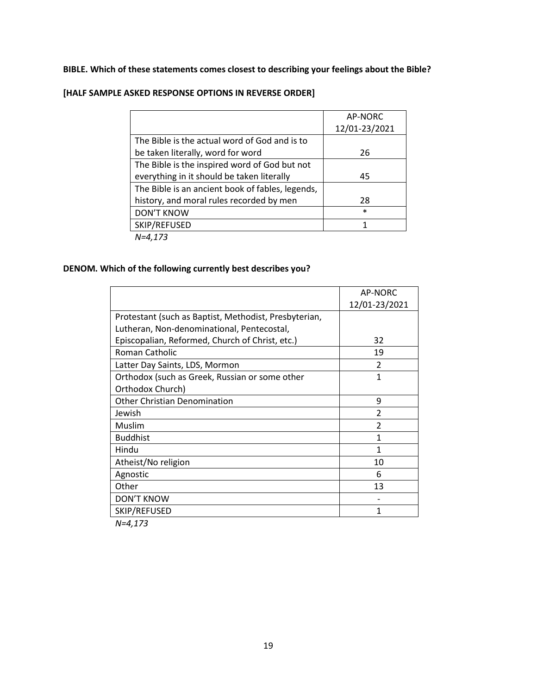# **BIBLE. Which of these statements comes closest to describing your feelings about the Bible?**

|                                                  | AP-NORC       |
|--------------------------------------------------|---------------|
|                                                  | 12/01-23/2021 |
| The Bible is the actual word of God and is to    |               |
| be taken literally, word for word                | 26            |
| The Bible is the inspired word of God but not    |               |
| everything in it should be taken literally       | 45            |
| The Bible is an ancient book of fables, legends, |               |
| history, and moral rules recorded by men         | 28            |
| <b>DON'T KNOW</b>                                | $\ast$        |
| SKIP/REFUSED                                     |               |
| 1.1.172                                          |               |

# **[HALF SAMPLE ASKED RESPONSE OPTIONS IN REVERSE ORDER]**

*N=4,173*

# **DENOM. Which of the following currently best describes you?**

|                                                       | AP-NORC        |
|-------------------------------------------------------|----------------|
|                                                       | 12/01-23/2021  |
| Protestant (such as Baptist, Methodist, Presbyterian, |                |
| Lutheran, Non-denominational, Pentecostal,            |                |
| Episcopalian, Reformed, Church of Christ, etc.)       | 32             |
| Roman Catholic                                        | 19             |
| Latter Day Saints, LDS, Mormon                        | $\mathcal{P}$  |
| Orthodox (such as Greek, Russian or some other        | 1              |
| Orthodox Church)                                      |                |
| <b>Other Christian Denomination</b>                   | 9              |
| Jewish                                                | $\mathfrak{p}$ |
| Muslim                                                | $\mathfrak{p}$ |
| <b>Buddhist</b>                                       | 1              |
| Hindu                                                 | 1              |
| Atheist/No religion                                   | 10             |
| Agnostic                                              | 6              |
| Other                                                 | 13             |
| <b>DON'T KNOW</b>                                     |                |
| SKIP/REFUSED                                          | 1              |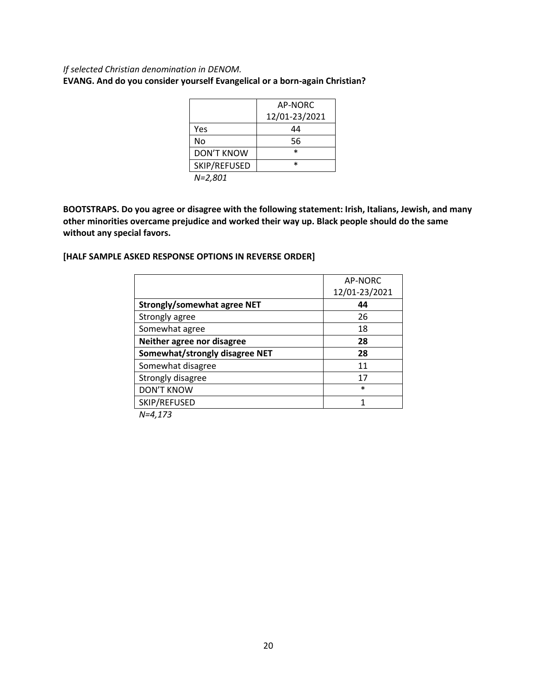# *If selected Christian denomination in DENOM.* **EVANG. And do you consider yourself Evangelical or a born-again Christian?**

|                   | AP-NORC       |
|-------------------|---------------|
|                   | 12/01-23/2021 |
| Yes               | 44            |
| No                | 56            |
| <b>DON'T KNOW</b> | $\ast$        |
| SKIP/REFUSED      | $\ast$        |
| 1.2001            |               |

*N=2,801*

**BOOTSTRAPS. Do you agree or disagree with the following statement: Irish, Italians, Jewish, and many other minorities overcame prejudice and worked their way up. Black people should do the same without any special favors.**

# **[HALF SAMPLE ASKED RESPONSE OPTIONS IN REVERSE ORDER]**

|                                    | AP-NORC       |
|------------------------------------|---------------|
|                                    | 12/01-23/2021 |
| <b>Strongly/somewhat agree NET</b> | 44            |
| Strongly agree                     | 26            |
| Somewhat agree                     | 18            |
| Neither agree nor disagree         | 28            |
| Somewhat/strongly disagree NET     | 28            |
| Somewhat disagree                  | 11            |
| Strongly disagree                  | 17            |
| <b>DON'T KNOW</b>                  | $\ast$        |
| SKIP/REFUSED                       |               |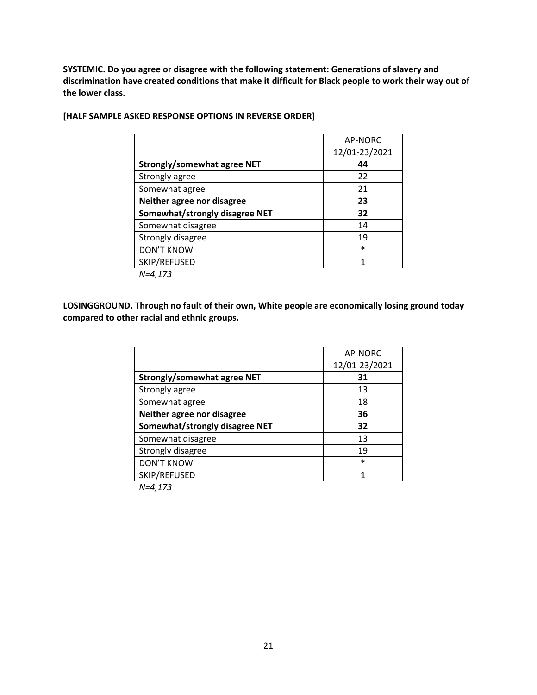**SYSTEMIC. Do you agree or disagree with the following statement: Generations of slavery and discrimination have created conditions that make it difficult for Black people to work their way out of the lower class.**

|                                    | AP-NORC       |
|------------------------------------|---------------|
|                                    | 12/01-23/2021 |
| <b>Strongly/somewhat agree NET</b> | 44            |
| Strongly agree                     | 22            |
| Somewhat agree                     | 21            |
| Neither agree nor disagree         | 23            |
| Somewhat/strongly disagree NET     | 32            |
| Somewhat disagree                  | 14            |
| Strongly disagree                  | 19            |
| <b>DON'T KNOW</b>                  | $\ast$        |
| SKIP/REFUSED                       | 1             |
| $N = 4.173$                        |               |

## **[HALF SAMPLE ASKED RESPONSE OPTIONS IN REVERSE ORDER]**

**LOSINGGROUND. Through no fault of their own, White people are economically losing ground today compared to other racial and ethnic groups.**

|                                    | AP-NORC       |
|------------------------------------|---------------|
|                                    | 12/01-23/2021 |
| <b>Strongly/somewhat agree NET</b> | 31            |
| Strongly agree                     | 13            |
| Somewhat agree                     | 18            |
| Neither agree nor disagree         | 36            |
| Somewhat/strongly disagree NET     | 32            |
| Somewhat disagree                  | 13            |
| Strongly disagree                  | 19            |
| <b>DON'T KNOW</b>                  | $\ast$        |
| SKIP/REFUSED                       | 1             |
|                                    |               |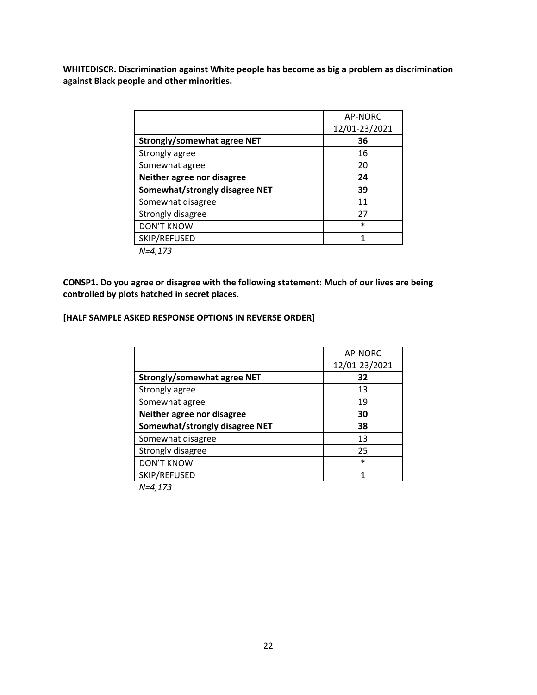**WHITEDISCR. Discrimination against White people has become as big a problem as discrimination against Black people and other minorities.**

|                                | AP-NORC       |
|--------------------------------|---------------|
|                                | 12/01-23/2021 |
| Strongly/somewhat agree NET    | 36            |
| Strongly agree                 | 16            |
| Somewhat agree                 | 20            |
| Neither agree nor disagree     | 24            |
| Somewhat/strongly disagree NET | 39            |
| Somewhat disagree              | 11            |
| Strongly disagree              | 27            |
| <b>DON'T KNOW</b>              | $\ast$        |
| SKIP/REFUSED                   | 1             |
| $N = 4.173$                    |               |

**CONSP1. Do you agree or disagree with the following statement: Much of our lives are being controlled by plots hatched in secret places.**

#### **[HALF SAMPLE ASKED RESPONSE OPTIONS IN REVERSE ORDER]**

|                                    | AP-NORC       |
|------------------------------------|---------------|
|                                    | 12/01-23/2021 |
| <b>Strongly/somewhat agree NET</b> | 32            |
| Strongly agree                     | 13            |
| Somewhat agree                     | 19            |
| Neither agree nor disagree         | 30            |
| Somewhat/strongly disagree NET     | 38            |
| Somewhat disagree                  | 13            |
| Strongly disagree                  | 25            |
| <b>DON'T KNOW</b>                  | $\ast$        |
| SKIP/REFUSED                       | 1             |
| $\cdots$                           |               |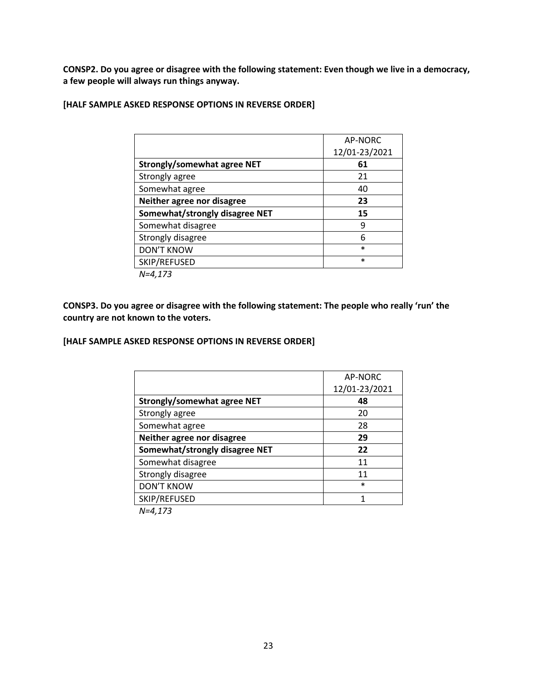**CONSP2. Do you agree or disagree with the following statement: Even though we live in a democracy, a few people will always run things anyway.**

| [HALF SAMPLE ASKED RESPONSE OPTIONS IN REVERSE ORDER] |  |  |  |
|-------------------------------------------------------|--|--|--|
|-------------------------------------------------------|--|--|--|

|                                    | AP-NORC       |
|------------------------------------|---------------|
|                                    | 12/01-23/2021 |
| <b>Strongly/somewhat agree NET</b> | 61            |
| Strongly agree                     | 21            |
| Somewhat agree                     | 40            |
| Neither agree nor disagree         | 23            |
| Somewhat/strongly disagree NET     | 15            |
| Somewhat disagree                  | 9             |
| Strongly disagree                  | 6             |
| <b>DON'T KNOW</b>                  | $\ast$        |
| SKIP/REFUSED                       | $\ast$        |
| $N - 1 172$                        |               |

*N=4,173*

**CONSP3. Do you agree or disagree with the following statement: The people who really 'run' the country are not known to the voters.**

#### **[HALF SAMPLE ASKED RESPONSE OPTIONS IN REVERSE ORDER]**

|                                    | AP-NORC       |
|------------------------------------|---------------|
|                                    | 12/01-23/2021 |
| <b>Strongly/somewhat agree NET</b> | 48            |
| Strongly agree                     | 20            |
| Somewhat agree                     | 28            |
| Neither agree nor disagree         | 29            |
| Somewhat/strongly disagree NET     | 22            |
| Somewhat disagree                  | 11            |
| Strongly disagree                  | 11            |
| <b>DON'T KNOW</b>                  | $\ast$        |
| SKIP/REFUSED                       | 1             |
| $\cdots$                           |               |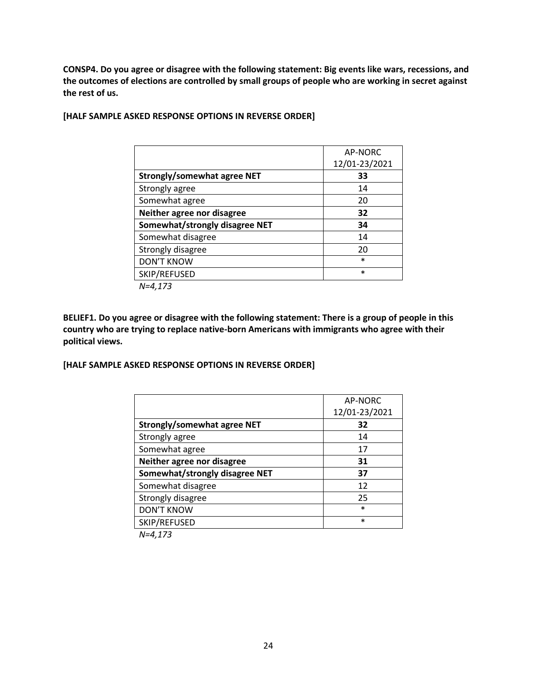**CONSP4. Do you agree or disagree with the following statement: Big events like wars, recessions, and the outcomes of elections are controlled by small groups of people who are working in secret against the rest of us.**

|                                    | AP-NORC       |
|------------------------------------|---------------|
|                                    | 12/01-23/2021 |
| <b>Strongly/somewhat agree NET</b> | 33            |
| Strongly agree                     | 14            |
| Somewhat agree                     | 20            |
| Neither agree nor disagree         | 32            |
| Somewhat/strongly disagree NET     | 34            |
| Somewhat disagree                  | 14            |
| Strongly disagree                  | 20            |
| <b>DON'T KNOW</b>                  | $\ast$        |
| SKIP/REFUSED                       | $\ast$        |
| $N=4,173$                          |               |

## **[HALF SAMPLE ASKED RESPONSE OPTIONS IN REVERSE ORDER]**

**BELIEF1. Do you agree or disagree with the following statement: There is a group of people in this country who are trying to replace native-born Americans with immigrants who agree with their political views.**

**[HALF SAMPLE ASKED RESPONSE OPTIONS IN REVERSE ORDER]**

|                                | AP-NORC       |
|--------------------------------|---------------|
|                                | 12/01-23/2021 |
| Strongly/somewhat agree NET    | 32            |
| Strongly agree                 | 14            |
| Somewhat agree                 | 17            |
| Neither agree nor disagree     | 31            |
| Somewhat/strongly disagree NET | 37            |
| Somewhat disagree              | 12            |
| Strongly disagree              | 25            |
| <b>DON'T KNOW</b>              | $\ast$        |
| SKIP/REFUSED                   | $\ast$        |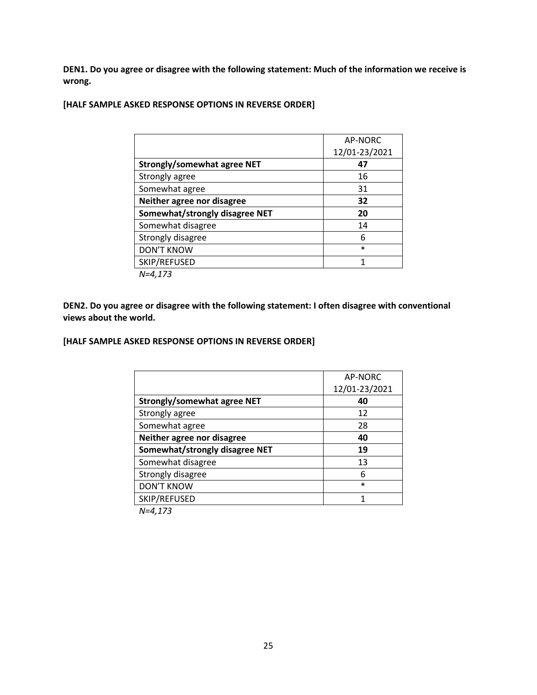**DEN1. Do you agree or disagree with the following statement: Much of the information we receive is wrong.**

## **[HALF SAMPLE ASKED RESPONSE OPTIONS IN REVERSE ORDER]**

|                                    | AP-NORC       |
|------------------------------------|---------------|
|                                    | 12/01-23/2021 |
| <b>Strongly/somewhat agree NET</b> | 47            |
| Strongly agree                     | 16            |
| Somewhat agree                     | 31            |
| Neither agree nor disagree         | 32            |
| Somewhat/strongly disagree NET     | 20            |
| Somewhat disagree                  | 14            |
| Strongly disagree                  | 6             |
| <b>DON'T KNOW</b>                  | $\ast$        |
| SKIP/REFUSED                       | 1             |
| $N - 1 172$                        |               |

*N=4,173*

**DEN2. Do you agree or disagree with the following statement: I often disagree with conventional views about the world.**

#### **[HALF SAMPLE ASKED RESPONSE OPTIONS IN REVERSE ORDER]**

|                                | AP-NORC       |
|--------------------------------|---------------|
|                                | 12/01-23/2021 |
| Strongly/somewhat agree NET    | 40            |
| Strongly agree                 | 12            |
| Somewhat agree                 | 28            |
| Neither agree nor disagree     | 40            |
| Somewhat/strongly disagree NET | 19            |
| Somewhat disagree              | 13            |
| Strongly disagree              | 6             |
| <b>DON'T KNOW</b>              | $\ast$        |
| SKIP/REFUSED                   | 1             |
| $\cdots$                       |               |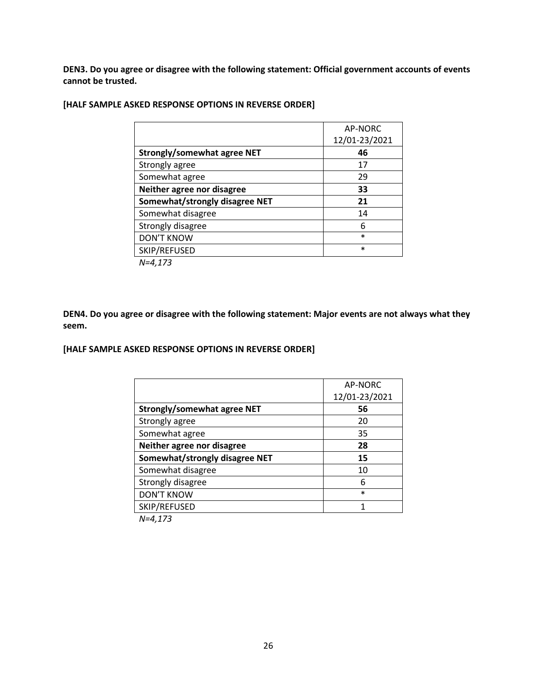**DEN3. Do you agree or disagree with the following statement: Official government accounts of events cannot be trusted.**

|                                    | AP-NORC       |
|------------------------------------|---------------|
|                                    | 12/01-23/2021 |
| <b>Strongly/somewhat agree NET</b> | 46            |
| Strongly agree                     | 17            |
| Somewhat agree                     | 29            |
| Neither agree nor disagree         | 33            |
| Somewhat/strongly disagree NET     | 21            |
| Somewhat disagree                  | 14            |
| Strongly disagree                  | 6             |
| <b>DON'T KNOW</b>                  | $\ast$        |
| SKIP/REFUSED                       | $\ast$        |
| $1 - 1$ 177                        |               |

#### **[HALF SAMPLE ASKED RESPONSE OPTIONS IN REVERSE ORDER]**

*N=4,173*

**DEN4. Do you agree or disagree with the following statement: Major events are not always what they seem.**

# **[HALF SAMPLE ASKED RESPONSE OPTIONS IN REVERSE ORDER]**

|                                    | AP-NORC       |
|------------------------------------|---------------|
|                                    | 12/01-23/2021 |
| <b>Strongly/somewhat agree NET</b> | 56            |
| Strongly agree                     | 20            |
| Somewhat agree                     | 35            |
| Neither agree nor disagree         | 28            |
| Somewhat/strongly disagree NET     | 15            |
| Somewhat disagree                  | 10            |
| Strongly disagree                  | 6             |
| <b>DON'T KNOW</b>                  | $\ast$        |
| SKIP/REFUSED                       | 1             |
| $N - 1 172$                        |               |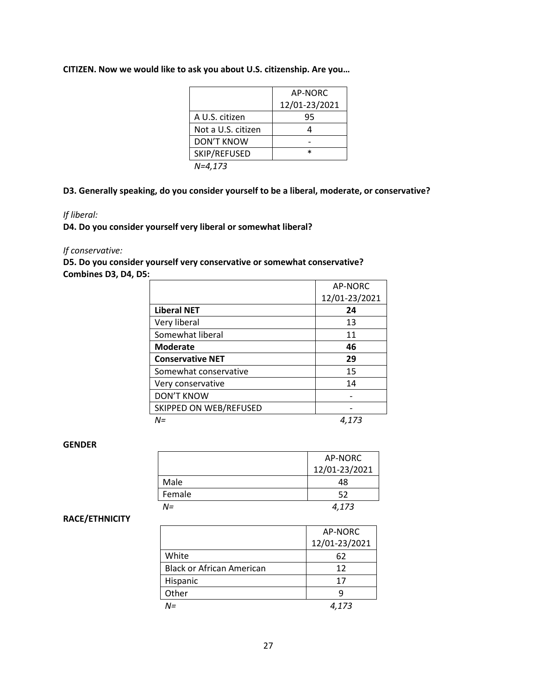#### **CITIZEN. Now we would like to ask you about U.S. citizenship. Are you…**

|                    | AP-NORC       |
|--------------------|---------------|
|                    | 12/01-23/2021 |
| A U.S. citizen     | 95            |
| Not a U.S. citizen |               |
| <b>DON'T KNOW</b>  |               |
| SKIP/REFUSED       | *             |
| N=4,173            |               |

**D3. Generally speaking, do you consider yourself to be a liberal, moderate, or conservative?**

#### *If liberal:*

**D4. Do you consider yourself very liberal or somewhat liberal?** 

#### *If conservative:*

**D5. Do you consider yourself very conservative or somewhat conservative? Combines D3, D4, D5:** 

|                         | AP-NORC       |
|-------------------------|---------------|
|                         | 12/01-23/2021 |
| <b>Liberal NET</b>      | 24            |
| Very liberal            | 13            |
| Somewhat liberal        | 11            |
| <b>Moderate</b>         | 46            |
| <b>Conservative NET</b> | 29            |
| Somewhat conservative   | 15            |
| Very conservative       | 14            |
| <b>DON'T KNOW</b>       |               |
| SKIPPED ON WEB/REFUSED  |               |
| N=                      | 4.173         |

#### **GENDER**

|        | AP-NORC       |
|--------|---------------|
|        | 12/01-23/2021 |
| Male   | 48            |
| Female | 52            |
| N=     | 4,173         |

#### **RACE/ETHNICITY**

|                                  | AP-NORC       |
|----------------------------------|---------------|
|                                  | 12/01-23/2021 |
| White                            | 62            |
| <b>Black or African American</b> | 12            |
| Hispanic                         | 17            |
| Other                            |               |
| N=                               | 4.173         |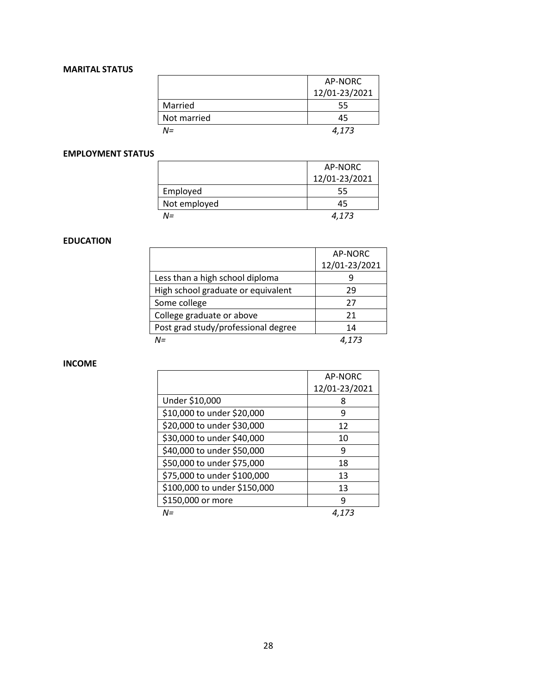# **MARITAL STATUS**

|             | AP-NORC       |
|-------------|---------------|
|             | 12/01-23/2021 |
| Married     | 55            |
| Not married | 45            |
| N=          | 4.173         |

## **EMPLOYMENT STATUS**

|              | AP-NORC       |
|--------------|---------------|
|              | 12/01-23/2021 |
| Employed     | 55            |
| Not employed | 45            |
| $N =$        | 4.173         |

## **EDUCATION**

|                                     | AP-NORC       |
|-------------------------------------|---------------|
|                                     | 12/01-23/2021 |
| Less than a high school diploma     |               |
| High school graduate or equivalent  | 29            |
| Some college                        | 27            |
| College graduate or above           | 21            |
| Post grad study/professional degree | 14            |
| N=                                  |               |

#### **INCOME**

 $\overline{a}$ 

|                              | AP-NORC       |
|------------------------------|---------------|
|                              | 12/01-23/2021 |
| Under \$10,000               | ጸ             |
| \$10,000 to under \$20,000   | 9             |
| \$20,000 to under \$30,000   | 12            |
| \$30,000 to under \$40,000   | 10            |
| \$40,000 to under \$50,000   | q             |
| \$50,000 to under \$75,000   | 18            |
| \$75,000 to under \$100,000  | 13            |
| \$100,000 to under \$150,000 | 13            |
| \$150,000 or more            | q             |
| M=                           | 4.173         |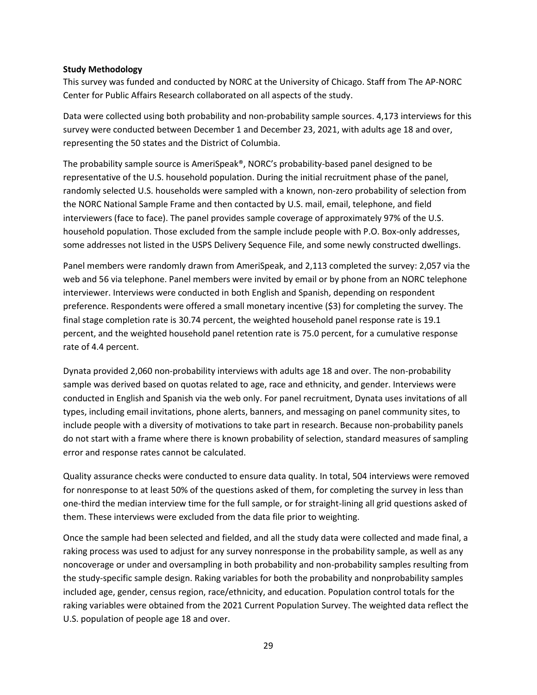#### **Study Methodology**

This survey was funded and conducted by NORC at the University of Chicago. Staff from The AP-NORC Center for Public Affairs Research collaborated on all aspects of the study.

Data were collected using both probability and non-probability sample sources. 4,173 interviews for this survey were conducted between December 1 and December 23, 2021, with adults age 18 and over, representing the 50 states and the District of Columbia.

The probability sample source is AmeriSpeak®, NORC's probability-based panel designed to be representative of the U.S. household population. During the initial recruitment phase of the panel, randomly selected U.S. households were sampled with a known, non-zero probability of selection from the NORC National Sample Frame and then contacted by U.S. mail, email, telephone, and field interviewers (face to face). The panel provides sample coverage of approximately 97% of the U.S. household population. Those excluded from the sample include people with P.O. Box-only addresses, some addresses not listed in the USPS Delivery Sequence File, and some newly constructed dwellings.

Panel members were randomly drawn from AmeriSpeak, and 2,113 completed the survey: 2,057 via the web and 56 via telephone. Panel members were invited by email or by phone from an NORC telephone interviewer. Interviews were conducted in both English and Spanish, depending on respondent preference. Respondents were offered a small monetary incentive (\$3) for completing the survey. The final stage completion rate is 30.74 percent, the weighted household panel response rate is 19.1 percent, and the weighted household panel retention rate is 75.0 percent, for a cumulative response rate of 4.4 percent.

Dynata provided 2,060 non-probability interviews with adults age 18 and over. The non-probability sample was derived based on quotas related to age, race and ethnicity, and gender. Interviews were conducted in English and Spanish via the web only. For panel recruitment, Dynata uses invitations of all types, including email invitations, phone alerts, banners, and messaging on panel community sites, to include people with a diversity of motivations to take part in research. Because non-probability panels do not start with a frame where there is known probability of selection, standard measures of sampling error and response rates cannot be calculated.

Quality assurance checks were conducted to ensure data quality. In total, 504 interviews were removed for nonresponse to at least 50% of the questions asked of them, for completing the survey in less than one-third the median interview time for the full sample, or for straight-lining all grid questions asked of them. These interviews were excluded from the data file prior to weighting.

Once the sample had been selected and fielded, and all the study data were collected and made final, a raking process was used to adjust for any survey nonresponse in the probability sample, as well as any noncoverage or under and oversampling in both probability and non-probability samples resulting from the study-specific sample design. Raking variables for both the probability and nonprobability samples included age, gender, census region, race/ethnicity, and education. Population control totals for the raking variables were obtained from the 2021 Current Population Survey. The weighted data reflect the U.S. population of people age 18 and over.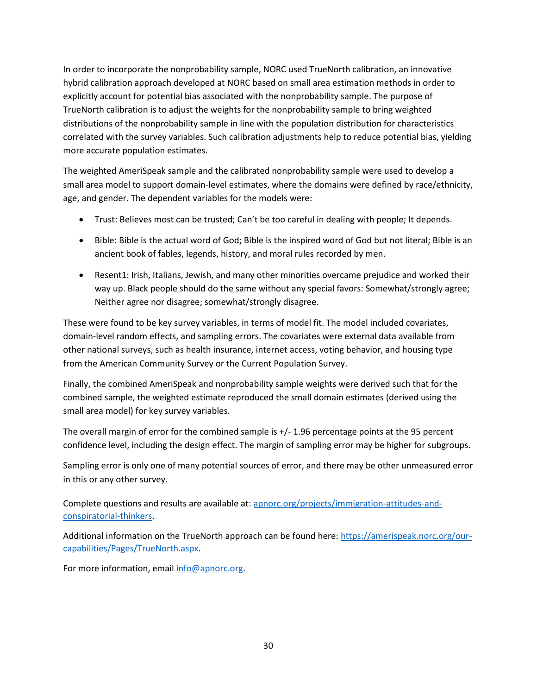In order to incorporate the nonprobability sample, NORC used TrueNorth calibration, an innovative hybrid calibration approach developed at NORC based on small area estimation methods in order to explicitly account for potential bias associated with the nonprobability sample. The purpose of TrueNorth calibration is to adjust the weights for the nonprobability sample to bring weighted distributions of the nonprobability sample in line with the population distribution for characteristics correlated with the survey variables. Such calibration adjustments help to reduce potential bias, yielding more accurate population estimates.

The weighted AmeriSpeak sample and the calibrated nonprobability sample were used to develop a small area model to support domain-level estimates, where the domains were defined by race/ethnicity, age, and gender. The dependent variables for the models were:

- Trust: Believes most can be trusted; Can't be too careful in dealing with people; It depends.
- Bible: Bible is the actual word of God; Bible is the inspired word of God but not literal; Bible is an ancient book of fables, legends, history, and moral rules recorded by men.
- Resent1: Irish, Italians, Jewish, and many other minorities overcame prejudice and worked their way up. Black people should do the same without any special favors: Somewhat/strongly agree; Neither agree nor disagree; somewhat/strongly disagree.

These were found to be key survey variables, in terms of model fit. The model included covariates, domain-level random effects, and sampling errors. The covariates were external data available from other national surveys, such as health insurance, internet access, voting behavior, and housing type from the American Community Survey or the Current Population Survey.

Finally, the combined AmeriSpeak and nonprobability sample weights were derived such that for the combined sample, the weighted estimate reproduced the small domain estimates (derived using the small area model) for key survey variables.

The overall margin of error for the combined sample is +/- 1.96 percentage points at the 95 percent confidence level, including the design effect. The margin of sampling error may be higher for subgroups.

Sampling error is only one of many potential sources of error, and there may be other unmeasured error in this or any other survey.

Complete questions and results are available at: [apnorc.org/projects/immigration-attitudes-and](file://///norc.org/projects/6789.75/Common/Topline/apnorc.org/projects/immigration-attitudes-and-conspiratorial-thinkers)[conspiratorial-thinkers.](file://///norc.org/projects/6789.75/Common/Topline/apnorc.org/projects/immigration-attitudes-and-conspiratorial-thinkers)

Additional information on the TrueNorth approach can be found here[: https://amerispeak.norc.org/our](https://amerispeak.norc.org/our-capabilities/Pages/TrueNorth.aspx)[capabilities/Pages/TrueNorth.aspx.](https://amerispeak.norc.org/our-capabilities/Pages/TrueNorth.aspx)

For more information, email [info@apnorc.org.](mailto:info@apnorc.org)